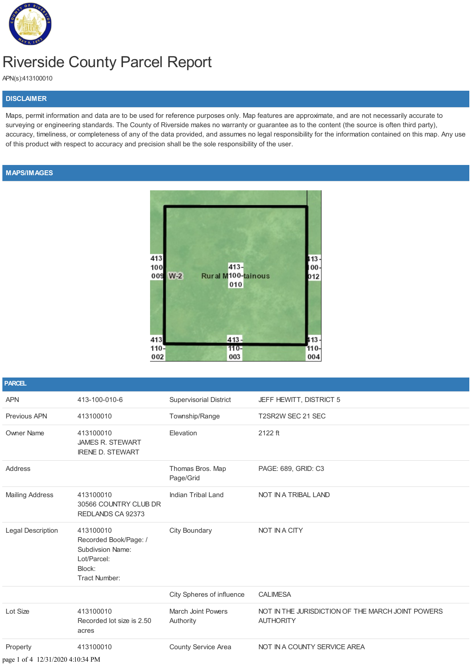

## Riverside County Parcel Report

APN(s):413100010

## **DISCLAIMER**

Maps, permit information and data are to be used for reference purposes only. Map features are approximate, and are not necessarily accurate to surveying or engineering standards. The County of Riverside makes no warranty or guarantee as to the content (the source is often third party), accuracy, timeliness, or completeness of any of the data provided, and assumes no legal responsibility for the information contained on this map. Any use of this product with respect to accuracy and precision shall be the sole responsibility of the user.

## **MAPS/IMAGES**



| <b>PARCEL</b>                     |                                                                                                                |                                 |                                                                       |
|-----------------------------------|----------------------------------------------------------------------------------------------------------------|---------------------------------|-----------------------------------------------------------------------|
| <b>APN</b>                        | 413-100-010-6                                                                                                  | <b>Supervisorial District</b>   | JEFF HEWITT, DISTRICT 5                                               |
| <b>Previous APN</b>               | 413100010                                                                                                      | Township/Range                  | T2SR2W SEC 21 SEC                                                     |
| <b>Owner Name</b>                 | 413100010<br><b>JAMES R. STEWART</b><br><b>IRENE D. STEWART</b>                                                | Elevation                       | 2122 ft                                                               |
| Address                           |                                                                                                                | Thomas Bros. Map<br>Page/Grid   | PAGE: 689, GRID: C3                                                   |
| <b>Mailing Address</b>            | 413100010<br>30566 COUNTRY CLUB DR<br>REDLANDS CA 92373                                                        | <b>Indian Tribal Land</b>       | NOT IN A TRIBAL LAND                                                  |
| <b>Legal Description</b>          | 413100010<br>Recorded Book/Page: /<br><b>Subdivsion Name:</b><br>Lot/Parcel:<br>Block:<br><b>Tract Number:</b> | <b>City Boundary</b>            | NOT IN A CITY                                                         |
|                                   |                                                                                                                | City Spheres of influence       | <b>CALIMESA</b>                                                       |
| Lot Size                          | 413100010<br>Recorded lot size is 2.50<br>acres                                                                | March Joint Powers<br>Authority | NOT IN THE JURISDICTION OF THE MARCH JOINT POWERS<br><b>AUTHORITY</b> |
| Property                          | 413100010                                                                                                      | County Service Area             | NOT IN A COUNTY SERVICE AREA                                          |
| page 1 of 4 12/31/2020 4:10:34 PM |                                                                                                                |                                 |                                                                       |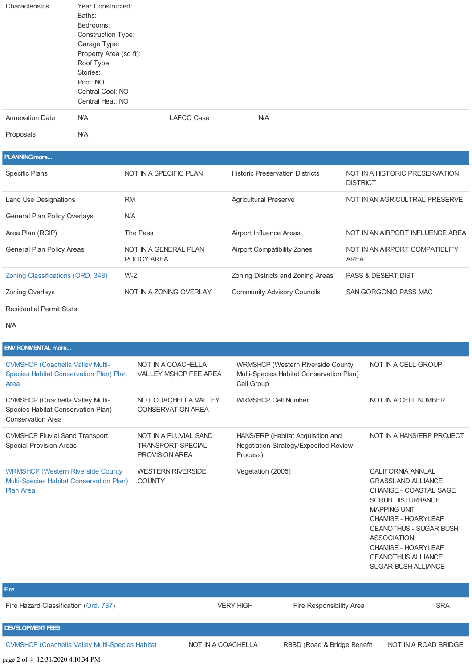| Characteristcs         | Year Constructed:         |            |            |  |  |  |  |
|------------------------|---------------------------|------------|------------|--|--|--|--|
|                        | Baths:                    |            |            |  |  |  |  |
|                        | Bedrooms:                 |            |            |  |  |  |  |
|                        | <b>Construction Type:</b> |            |            |  |  |  |  |
|                        | Garage Type:              |            |            |  |  |  |  |
|                        | Property Area (sq ft):    |            |            |  |  |  |  |
|                        | Roof Type:                |            |            |  |  |  |  |
|                        | Stories:                  |            |            |  |  |  |  |
|                        | Pool: NO                  |            |            |  |  |  |  |
|                        | Central Cool: NO          |            |            |  |  |  |  |
|                        | Central Heat: NO          |            |            |  |  |  |  |
| <b>Annexation Date</b> | <b>N/A</b>                | LAFCO Case | <b>N/A</b> |  |  |  |  |
|                        |                           |            |            |  |  |  |  |

Proposals N/A

## **PLANNING[more...](http://planning.rctlma.org/)** Specific Plans **NOT IN A SPECIFIC PLAN** Historic Preservation Districts NOT IN A HISTORIC PRESERVATION **DISTRICT** Land Use Designations **RM** RM Agricultural Preserve **NOT IN AN AGRICULTRAL PRESERVE** General Plan Policy Overlays N/A Area Plan (RCIP) The Pass The Pass Airport Influence Areas NOT IN AN AIRPORT INFLUENCE AREA General Plan Policy Areas NOT IN A GENERAL PLAN POLICY AREA Airport Compatibility Zones NOT IN AN AIRPORT COMPATIBLITY AREA Zoning [Classifications](https://planning.rctlma.org/General-Plan-Zoning/Zone-Descriptions-Requirements) (ORD. 348) W-2 Zoning Districts and Zoning Areas PASS & DESERT DIST Zoning Overlays **NOT IN A ZONING OVERLAY** Community Advisory Councils SAN GORGONIO PASS MAC Residential Permit Stats

N/A

| <b>ENVIRONMENTAL more</b>                                                                                 |                                                                            |                                                                                                     |                                                                                                                                                                                                                                         |
|-----------------------------------------------------------------------------------------------------------|----------------------------------------------------------------------------|-----------------------------------------------------------------------------------------------------|-----------------------------------------------------------------------------------------------------------------------------------------------------------------------------------------------------------------------------------------|
| <b>CVMSHCP (Coachella Valley Multi-</b><br>Species Habitat Conservation Plan) Plan<br>Area                | NOT IN A COACHELLA<br><b>VALLEY MSHCP FEE AREA</b>                         | <b>WRMSHCP (Western Riverside County)</b><br>Multi-Species Habitat Conservation Plan)<br>Cell Group | NOT IN A CELL GROUP                                                                                                                                                                                                                     |
| <b>CVMSHCP (Coachella Valley Multi-</b><br>Species Habitat Conservation Plan)<br><b>Conservation Area</b> | NOT COACHELLA VALLEY<br><b>CONSERVATION AREA</b>                           | <b>WRMSHCP Cell Number</b>                                                                          | NOT IN A CELL NUMBER                                                                                                                                                                                                                    |
| <b>CVMSHCP Fluvial Sand Transport</b><br>Special Provision Areas                                          | NOT IN A FLUVIAL SAND<br><b>TRANSPORT SPECIAL</b><br><b>PROVISION AREA</b> | HANS/ERP (Habitat Acquisition and<br>Negotiation Strategy/Expedited Review<br>Process)              | NOT IN A HANS/ERP PROJECT                                                                                                                                                                                                               |
| <b>WRMSHCP (Western Riverside County)</b><br>Multi-Species Habitat Conservation Plan)<br><b>Plan Area</b> | <b>WESTERN RIVERSIDE</b><br><b>COUNTY</b>                                  | Vegetation (2005)                                                                                   | <b>CALIFORNIA ANNUAL</b><br><b>GRASSLAND ALLIANCE</b><br>CHAMISE - COASTAL SAGE<br><b>SCRUB DISTURBANCE</b><br><b>MAPPING UNIT</b><br>CHAMISE - HOARYLEAF<br><b>CEANOTHUS - SUGAR BUSH</b><br><b>ASSOCIATION</b><br>CHAMISE - HOARYLEAF |

CEANOTHUS ALLIANCE SUGAR BUSH ALLIANCE

Fire Hazard Classification [\(Ord.](http://www.rivcocob.org/ords/700/787.pdf) 787) SRA VERY HIGH Fire Responsibility Area

**DEVELOPMENT FEES**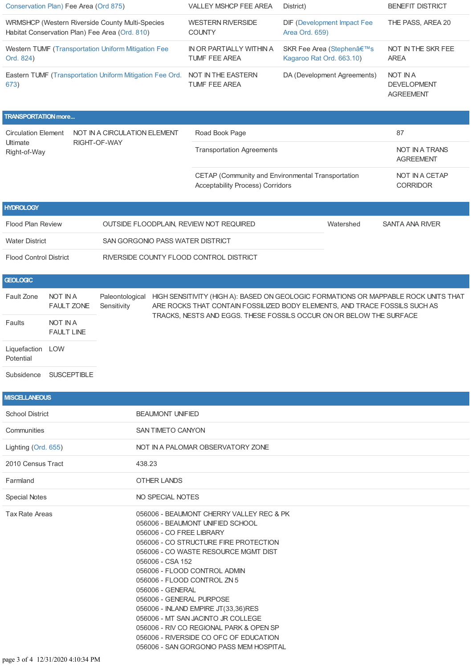| Conservation Plan) Fee Area (Ord 875)                                                             |                                                         |                                                            | VALLEY MSHCP FEE AREA                                                                                                                                                                                                                                                                                                                                                                                                                                                                             |                                                                                              | District)                |                                    | <b>BENEFIT DISTRICT</b>                                                             |  |
|---------------------------------------------------------------------------------------------------|---------------------------------------------------------|------------------------------------------------------------|---------------------------------------------------------------------------------------------------------------------------------------------------------------------------------------------------------------------------------------------------------------------------------------------------------------------------------------------------------------------------------------------------------------------------------------------------------------------------------------------------|----------------------------------------------------------------------------------------------|--------------------------|------------------------------------|-------------------------------------------------------------------------------------|--|
| WRMSHCP (Western Riverside County Multi-Species<br>Habitat Conservation Plan) Fee Area (Ord. 810) |                                                         |                                                            | <b>WESTERN RIVERSIDE</b><br><b>COUNTY</b>                                                                                                                                                                                                                                                                                                                                                                                                                                                         |                                                                                              | Area Ord. 659)           | <b>DIF (Development Impact Fee</b> | THE PASS, AREA 20                                                                   |  |
| Ord. 824)                                                                                         |                                                         | <b>Western TUMF (Transportation Uniform Mitigation Fee</b> | IN OR PARTIALLY WITHIN A<br>TUMF FEE AREA                                                                                                                                                                                                                                                                                                                                                                                                                                                         |                                                                                              | Kagaroo Rat Ord. 663.10) | SKR Fee Area (Stephen's            | NOT IN THE SKR FEE<br><b>AREA</b>                                                   |  |
| Eastern TUMF (Transportation Uniform Mitigation Fee Ord. NOT IN THE EASTERN<br>673)               |                                                         |                                                            | TUMF FEE AREA                                                                                                                                                                                                                                                                                                                                                                                                                                                                                     |                                                                                              |                          | DA (Development Agreements)        | <b>NOT IN A</b><br><b>DEVELOPMENT</b><br><b>AGREEMENT</b>                           |  |
| <b>TRANSPORTATION more</b>                                                                        |                                                         |                                                            |                                                                                                                                                                                                                                                                                                                                                                                                                                                                                                   |                                                                                              |                          |                                    |                                                                                     |  |
| <b>Circulation Element</b><br>NOT IN A CIRCULATION ELEMENT                                        |                                                         |                                                            | Road Book Page                                                                                                                                                                                                                                                                                                                                                                                                                                                                                    |                                                                                              |                          |                                    | 87                                                                                  |  |
| Ultimate<br>Right-of-Way                                                                          |                                                         | RIGHT-OF-WAY                                               |                                                                                                                                                                                                                                                                                                                                                                                                                                                                                                   | <b>Transportation Agreements</b>                                                             |                          |                                    | <b>NOT IN A TRANS</b><br><b>AGREEMENT</b>                                           |  |
|                                                                                                   |                                                         |                                                            |                                                                                                                                                                                                                                                                                                                                                                                                                                                                                                   | CETAP (Community and Environmental Transportation<br><b>Acceptability Process) Corridors</b> |                          |                                    | NOT IN A CETAP<br><b>CORRIDOR</b>                                                   |  |
| <b>HYDROLOGY</b>                                                                                  |                                                         |                                                            |                                                                                                                                                                                                                                                                                                                                                                                                                                                                                                   |                                                                                              |                          |                                    |                                                                                     |  |
| <b>Flood Plan Review</b>                                                                          |                                                         | OUTSIDE FLOODPLAIN, REVIEW NOT REQUIRED                    |                                                                                                                                                                                                                                                                                                                                                                                                                                                                                                   |                                                                                              |                          | Watershed                          | <b>SANTA ANA RIVER</b>                                                              |  |
| <b>Water District</b>                                                                             |                                                         | SAN GORGONIO PASS WATER DISTRICT                           |                                                                                                                                                                                                                                                                                                                                                                                                                                                                                                   |                                                                                              |                          |                                    |                                                                                     |  |
| <b>Flood Control District</b>                                                                     |                                                         | RIVERSIDE COUNTY FLOOD CONTROL DISTRICT                    |                                                                                                                                                                                                                                                                                                                                                                                                                                                                                                   |                                                                                              |                          |                                    |                                                                                     |  |
| <b>GEOLOGIC</b>                                                                                   |                                                         |                                                            |                                                                                                                                                                                                                                                                                                                                                                                                                                                                                                   |                                                                                              |                          |                                    |                                                                                     |  |
| Fault Zone<br>Faults                                                                              | <b>NOT IN A</b><br><b>FAULT ZONE</b><br><b>NOT IN A</b> | Paleontological<br>Sensitivity                             | ARE ROCKS THAT CONTAIN FOSSILIZED BODY ELEMENTS, AND TRACE FOSSILS SUCH AS<br>TRACKS, NESTS AND EGGS. THESE FOSSILS OCCUR ON OR BELOW THE SURFACE                                                                                                                                                                                                                                                                                                                                                 |                                                                                              |                          |                                    | HIGH SENSITIVITY (HIGH A): BASED ON GEOLOGIC FORMATIONS OR MAPPABLE ROCK UNITS THAT |  |
|                                                                                                   | <b>FAULT LINE</b>                                       |                                                            |                                                                                                                                                                                                                                                                                                                                                                                                                                                                                                   |                                                                                              |                          |                                    |                                                                                     |  |
| Liquefaction LOW<br>Potential                                                                     |                                                         |                                                            |                                                                                                                                                                                                                                                                                                                                                                                                                                                                                                   |                                                                                              |                          |                                    |                                                                                     |  |
|                                                                                                   | Subsidence SUSCEPTIBLE                                  |                                                            |                                                                                                                                                                                                                                                                                                                                                                                                                                                                                                   |                                                                                              |                          |                                    |                                                                                     |  |
| <b>MISCELLANEOUS</b>                                                                              |                                                         |                                                            |                                                                                                                                                                                                                                                                                                                                                                                                                                                                                                   |                                                                                              |                          |                                    |                                                                                     |  |
| <b>School District</b>                                                                            |                                                         | <b>BEAUMONT UNIFIED</b>                                    |                                                                                                                                                                                                                                                                                                                                                                                                                                                                                                   |                                                                                              |                          |                                    |                                                                                     |  |
| Communities                                                                                       |                                                         |                                                            | SAN TIMETO CANYON                                                                                                                                                                                                                                                                                                                                                                                                                                                                                 |                                                                                              |                          |                                    |                                                                                     |  |
| Lighting (Ord. 655)                                                                               |                                                         |                                                            | NOT IN A PALOMAR OBSERVATORY ZONE                                                                                                                                                                                                                                                                                                                                                                                                                                                                 |                                                                                              |                          |                                    |                                                                                     |  |
| 2010 Census Tract                                                                                 |                                                         | 438.23                                                     |                                                                                                                                                                                                                                                                                                                                                                                                                                                                                                   |                                                                                              |                          |                                    |                                                                                     |  |
| Farmland                                                                                          |                                                         | OTHER LANDS                                                |                                                                                                                                                                                                                                                                                                                                                                                                                                                                                                   |                                                                                              |                          |                                    |                                                                                     |  |
| <b>Special Notes</b>                                                                              |                                                         | NO SPECIAL NOTES                                           |                                                                                                                                                                                                                                                                                                                                                                                                                                                                                                   |                                                                                              |                          |                                    |                                                                                     |  |
| Tax Rate Areas                                                                                    |                                                         | 056006 - CSA 152<br>056006 - GENERAL                       | 056006 - BEAUMONT CHERRY VALLEY REC & PK<br>056006 - BEAUMONT UNIFIED SCHOOL<br>056006 - CO FREE LIBRARY<br>056006 - CO STRUCTURE FIRE PROTECTION<br>056006 - CO WASTE RESOURCE MGMT DIST<br>056006 - FLOOD CONTROL ADMIN<br>056006 - FLOOD CONTROL ZN 5<br>056006 - GENERAL PURPOSE<br>056006 - INLAND EMPIRE JT(33,36)RES<br>056006 - MT SAN JACINTO JR COLLEGE<br>056006 - RIV CO REGIONAL PARK & OPEN SP<br>056006 - RIVERSIDE CO OFC OF EDUCATION<br>056006 - SAN GORGONIO PASS MEM HOSPITAL |                                                                                              |                          |                                    |                                                                                     |  |